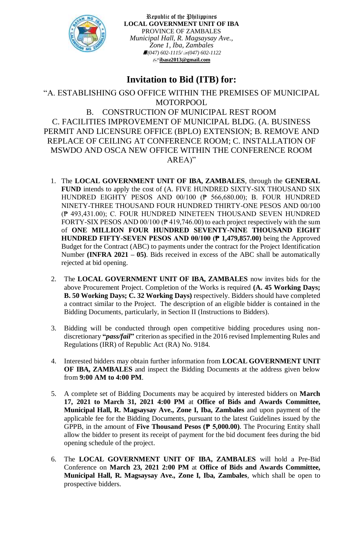

Republic of the Philippines **LOCAL GOVERNMENT UNIT OF IBA** PROVINCE OF ZAMBALES *Municipal Hall, R. Magsaysay Ave., Zone 1, Iba, Zambales (047) 602-1115/(047) 602-1122* **[ibasz2013@gmail.com](mailto:ibasz2013@gmail.com)**

## **Invitation to Bid (ITB) for:**

## "A. ESTABLISHING GSO OFFICE WITHIN THE PREMISES OF MUNICIPAL MOTORPOOL B. CONSTRUCTION OF MUNICIPAL REST ROOM C. FACILITIES IMPROVEMENT OF MUNICIPAL BLDG. (A. BUSINESS PERMIT AND LICENSURE OFFICE (BPLO) EXTENSION; B. REMOVE AND REPLACE OF CEILING AT CONFERENCE ROOM; C. INSTALLATION OF MSWDO AND OSCA NEW OFFICE WITHIN THE CONFERENCE ROOM AREA)"

- 1. The **LOCAL GOVERNMENT UNIT OF IBA, ZAMBALES**, through the **GENERAL FUND** intends to apply the cost of (A. FIVE HUNDRED SIXTY-SIX THOUSAND SIX HUNDRED EIGHTY PESOS AND 00/100 (₱ 566,680.00); B. FOUR HUNDRED NINETY-THREE THOUSAND FOUR HUNDRED THIRTY-ONE PESOS AND 00/100 (₱ 493,431.00); C. FOUR HUNDRED NINETEEN THOUSAND SEVEN HUNDRED FORTY-SIX PESOS AND 00/100 (₱ 419,746.00) to each project respectively with the sum of **ONE MILLION FOUR HUNDRED SEVENTY-NINE THOUSAND EIGHT HUNDRED FIFTY-SEVEN PESOS AND 00/100 (₱ 1,479,857.00)** being the Approved Budget for the Contract (ABC) to payments under the contract for the Project Identification Number **(INFRA 2021 – 05)**. Bids received in excess of the ABC shall be automatically rejected at bid opening.
- 2. The **LOCAL GOVERNMENT UNIT OF IBA, ZAMBALES** now invites bids for the above Procurement Project. Completion of the Works is required **(A. 45 Working Days; B. 50 Working Days; C. 32 Working Days)** respectively. Bidders should have completed a contract similar to the Project. The description of an eligible bidder is contained in the Bidding Documents, particularly, in Section II (Instructions to Bidders).
- 3. Bidding will be conducted through open competitive bidding procedures using nondiscretionary **"***pass/fail***"** criterion as specified in the 2016 revised Implementing Rules and Regulations (IRR) of Republic Act (RA) No. 9184.
- 4. Interested bidders may obtain further information from **LOCAL GOVERNMENT UNIT OF IBA, ZAMBALES** and inspect the Bidding Documents at the address given below from **9:00 AM to 4:00 PM**.
- 5. A complete set of Bidding Documents may be acquired by interested bidders on **March 17, 2021 to March 31, 2021 4:00 PM** at **Office of Bids and Awards Committee, Municipal Hall, R. Magsaysay Ave., Zone I, Iba, Zambales** and upon payment of the applicable fee for the Bidding Documents, pursuant to the latest Guidelines issued by the GPPB, in the amount of **Five Thousand Pesos (₱ 5,000.00)**. The Procuring Entity shall allow the bidder to present its receipt of payment for the bid document fees during the bid opening schedule of the project.
- 6. The **LOCAL GOVERNMENT UNIT OF IBA, ZAMBALES** will hold a Pre-Bid Conference on **March 23, 2021 2:00 PM** at **Office of Bids and Awards Committee, Municipal Hall, R. Magsaysay Ave., Zone I, Iba, Zambales***,* which shall be open to prospective bidders.